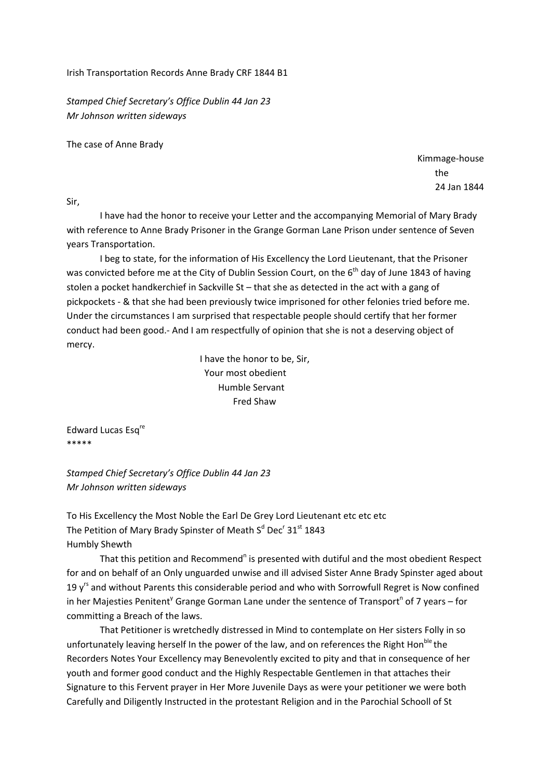Irish Transportation Records Anne Brady CRF 1844 B1

*Stamped Chief Secretary's Office Dublin 44 Jan 23 Mr Johnson written sideways*

The case of Anne Brady

Kimmage‐house the state of the state of the state of the state of the state of the state of the state of the state of the state of the state of the state of the state of the state of the state of the state of the state of the state of t 24 Jan 1844

Sir,

I have had the honor to receive your Letter and the accompanying Memorial of Mary Brady with reference to Anne Brady Prisoner in the Grange Gorman Lane Prison under sentence of Seven years Transportation.

I beg to state, for the information of His Excellency the Lord Lieutenant, that the Prisoner was convicted before me at the City of Dublin Session Court, on the 6<sup>th</sup> day of June 1843 of having stolen a pocket handkerchief in Sackville St – that she as detected in the act with a gang of pickpockets ‐ & that she had been previously twice imprisoned for other felonies tried before me. Under the circumstances I am surprised that respectable people should certify that her former conduct had been good.‐ And I am respectfully of opinion that she is not a deserving object of mercy.

> I have the honor to be, Sir, Your most obedient Humble Servant Fred Shaw

Edward Lucas Esq<sup>re</sup> \*\*\*\*\*

*Stamped Chief Secretary's Office Dublin 44 Jan 23 Mr Johnson written sideways*

To His Excellency the Most Noble the Earl De Grey Lord Lieutenant etc etc etc The Petition of Mary Brady Spinster of Meath S<sup>d</sup> Dec<sup>r</sup> 31<sup>st</sup> 1843 Humbly Shewth

That this petition and Recommend<sup>n</sup> is presented with dutiful and the most obedient Respect for and on behalf of an Only unguarded unwise and ill advised Sister Anne Brady Spinster aged about 19  $y^{rs}$  and without Parents this considerable period and who with Sorrowfull Regret is Now confined in her Majesties Penitent<sup>y</sup> Grange Gorman Lane under the sentence of Transport<sup>n</sup> of 7 years – for committing a Breach of the laws.

That Petitioner is wretchedly distressed in Mind to contemplate on Her sisters Folly in so unfortunately leaving herself In the power of the law, and on references the Right Hon<sup>ble</sup> the Recorders Notes Your Excellency may Benevolently excited to pity and that in consequence of her youth and former good conduct and the Highly Respectable Gentlemen in that attaches their Signature to this Fervent prayer in Her More Juvenile Days as were your petitioner we were both Carefully and Diligently Instructed in the protestant Religion and in the Parochial Schooll of St